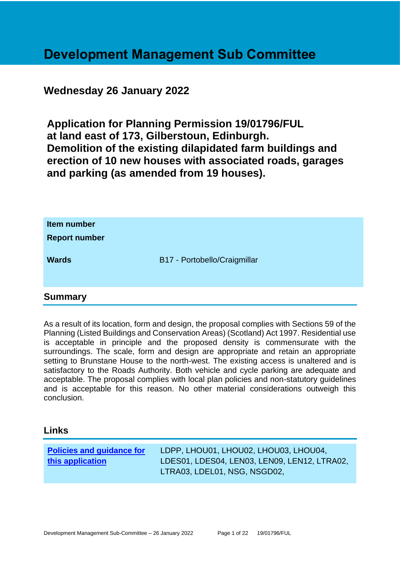# **Development Management Sub Committee**

# **Wednesday 26 January 2022**

**Application for Planning Permission 19/01796/FUL at land east of 173, Gilberstoun, Edinburgh. Demolition of the existing dilapidated farm buildings and erection of 10 new houses with associated roads, garages and parking (as amended from 19 houses).**

| Item number<br><b>Report number</b> |                              |
|-------------------------------------|------------------------------|
| <b>Wards</b>                        | B17 - Portobello/Craigmillar |
|                                     |                              |

#### **Summary**

As a result of its location, form and design, the proposal complies with Sections 59 of the Planning (Listed Buildings and Conservation Areas) (Scotland) Act 1997. Residential use is acceptable in principle and the proposed density is commensurate with the surroundings. The scale, form and design are appropriate and retain an appropriate setting to Brunstane House to the north-west. The existing access is unaltered and is satisfactory to the Roads Authority. Both vehicle and cycle parking are adequate and acceptable. The proposal complies with local plan policies and non-statutory guidelines and is acceptable for this reason. No other material considerations outweigh this conclusion.

#### **Links**

| <b>Policies and guidance for</b> | LDPP, LHOU01, LHOU02, LHOU03, LHOU04,        |
|----------------------------------|----------------------------------------------|
| this application                 | LDES01, LDES04, LEN03, LEN09, LEN12, LTRA02, |
|                                  | LTRA03, LDEL01, NSG, NSGD02,                 |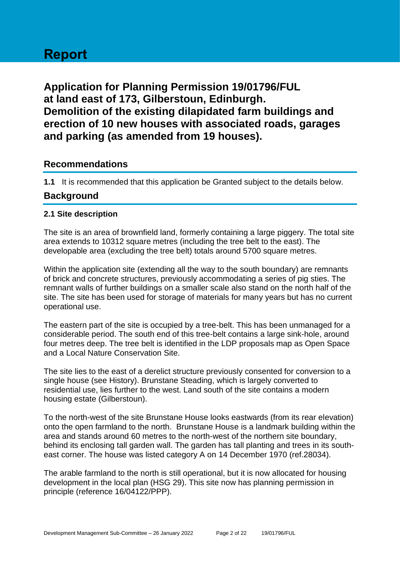# **Report**

**Application for Planning Permission 19/01796/FUL at land east of 173, Gilberstoun, Edinburgh. Demolition of the existing dilapidated farm buildings and erection of 10 new houses with associated roads, garages and parking (as amended from 19 houses).**

# **Recommendations**

**1.1** It is recommended that this application be Granted subject to the details below.

# **Background**

#### **2.1 Site description**

The site is an area of brownfield land, formerly containing a large piggery. The total site area extends to 10312 square metres (including the tree belt to the east). The developable area (excluding the tree belt) totals around 5700 square metres.

Within the application site (extending all the way to the south boundary) are remnants of brick and concrete structures, previously accommodating a series of pig sties. The remnant walls of further buildings on a smaller scale also stand on the north half of the site. The site has been used for storage of materials for many years but has no current operational use.

The eastern part of the site is occupied by a tree-belt. This has been unmanaged for a considerable period. The south end of this tree-belt contains a large sink-hole, around four metres deep. The tree belt is identified in the LDP proposals map as Open Space and a Local Nature Conservation Site.

The site lies to the east of a derelict structure previously consented for conversion to a single house (see History). Brunstane Steading, which is largely converted to residential use, lies further to the west. Land south of the site contains a modern housing estate (Gilberstoun).

To the north-west of the site Brunstane House looks eastwards (from its rear elevation) onto the open farmland to the north. Brunstane House is a landmark building within the area and stands around 60 metres to the north-west of the northern site boundary, behind its enclosing tall garden wall. The garden has tall planting and trees in its southeast corner. The house was listed category A on 14 December 1970 (ref.28034).

The arable farmland to the north is still operational, but it is now allocated for housing development in the local plan (HSG 29). This site now has planning permission in principle (reference 16/04122/PPP).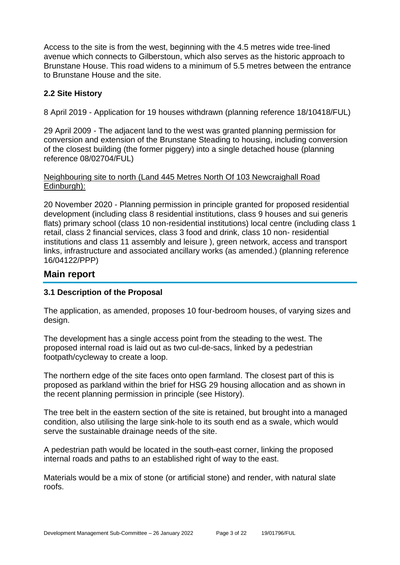Access to the site is from the west, beginning with the 4.5 metres wide tree-lined avenue which connects to Gilberstoun, which also serves as the historic approach to Brunstane House. This road widens to a minimum of 5.5 metres between the entrance to Brunstane House and the site.

#### **2.2 Site History**

8 April 2019 - Application for 19 houses withdrawn (planning reference 18/10418/FUL)

29 April 2009 - The adjacent land to the west was granted planning permission for conversion and extension of the Brunstane Steading to housing, including conversion of the closest building (the former piggery) into a single detached house (planning reference 08/02704/FUL)

#### Neighbouring site to north (Land 445 Metres North Of 103 Newcraighall Road Edinburgh):

20 November 2020 - Planning permission in principle granted for proposed residential development (including class 8 residential institutions, class 9 houses and sui generis flats) primary school (class 10 non-residential institutions) local centre (including class 1 retail, class 2 financial services, class 3 food and drink, class 10 non- residential institutions and class 11 assembly and leisure ), green network, access and transport links, infrastructure and associated ancillary works (as amended.) (planning reference 16/04122/PPP)

### **Main report**

#### **3.1 Description of the Proposal**

The application, as amended, proposes 10 four-bedroom houses, of varying sizes and design.

The development has a single access point from the steading to the west. The proposed internal road is laid out as two cul-de-sacs, linked by a pedestrian footpath/cycleway to create a loop.

The northern edge of the site faces onto open farmland. The closest part of this is proposed as parkland within the brief for HSG 29 housing allocation and as shown in the recent planning permission in principle (see History).

The tree belt in the eastern section of the site is retained, but brought into a managed condition, also utilising the large sink-hole to its south end as a swale, which would serve the sustainable drainage needs of the site.

A pedestrian path would be located in the south-east corner, linking the proposed internal roads and paths to an established right of way to the east.

Materials would be a mix of stone (or artificial stone) and render, with natural slate roofs.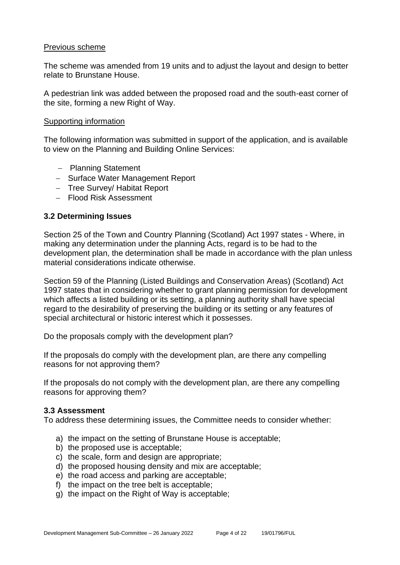#### Previous scheme

The scheme was amended from 19 units and to adjust the layout and design to better relate to Brunstane House.

A pedestrian link was added between the proposed road and the south-east corner of the site, forming a new Right of Way.

#### Supporting information

The following information was submitted in support of the application, and is available to view on the Planning and Building Online Services:

- − Planning Statement
- − Surface Water Management Report
- − Tree Survey/ Habitat Report
- − Flood Risk Assessment

#### **3.2 Determining Issues**

Section 25 of the Town and Country Planning (Scotland) Act 1997 states - Where, in making any determination under the planning Acts, regard is to be had to the development plan, the determination shall be made in accordance with the plan unless material considerations indicate otherwise.

Section 59 of the Planning (Listed Buildings and Conservation Areas) (Scotland) Act 1997 states that in considering whether to grant planning permission for development which affects a listed building or its setting, a planning authority shall have special regard to the desirability of preserving the building or its setting or any features of special architectural or historic interest which it possesses.

Do the proposals comply with the development plan?

If the proposals do comply with the development plan, are there any compelling reasons for not approving them?

If the proposals do not comply with the development plan, are there any compelling reasons for approving them?

#### **3.3 Assessment**

To address these determining issues, the Committee needs to consider whether:

- a) the impact on the setting of Brunstane House is acceptable;
- b) the proposed use is acceptable;
- c) the scale, form and design are appropriate;
- d) the proposed housing density and mix are acceptable;
- e) the road access and parking are acceptable;
- f) the impact on the tree belt is acceptable;
- g) the impact on the Right of Way is acceptable;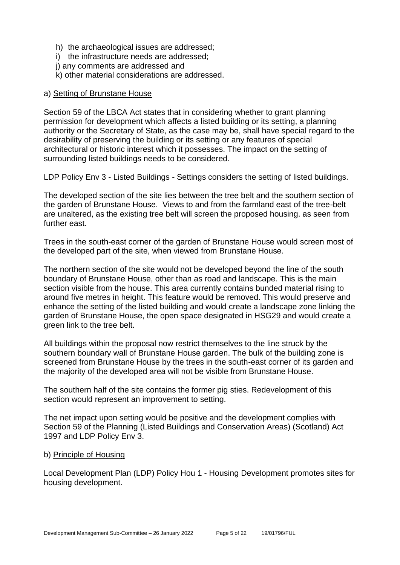- h) the archaeological issues are addressed;
- i) the infrastructure needs are addressed;
- j) any comments are addressed and
- k) other material considerations are addressed.

#### a) Setting of Brunstane House

Section 59 of the LBCA Act states that in considering whether to grant planning permission for development which affects a listed building or its setting, a planning authority or the Secretary of State, as the case may be, shall have special regard to the desirability of preserving the building or its setting or any features of special architectural or historic interest which it possesses. The impact on the setting of surrounding listed buildings needs to be considered.

LDP Policy Env 3 - Listed Buildings - Settings considers the setting of listed buildings.

The developed section of the site lies between the tree belt and the southern section of the garden of Brunstane House. Views to and from the farmland east of the tree-belt are unaltered, as the existing tree belt will screen the proposed housing. as seen from further east.

Trees in the south-east corner of the garden of Brunstane House would screen most of the developed part of the site, when viewed from Brunstane House.

The northern section of the site would not be developed beyond the line of the south boundary of Brunstane House, other than as road and landscape. This is the main section visible from the house. This area currently contains bunded material rising to around five metres in height. This feature would be removed. This would preserve and enhance the setting of the listed building and would create a landscape zone linking the garden of Brunstane House, the open space designated in HSG29 and would create a green link to the tree belt.

All buildings within the proposal now restrict themselves to the line struck by the southern boundary wall of Brunstane House garden. The bulk of the building zone is screened from Brunstane House by the trees in the south-east corner of its garden and the majority of the developed area will not be visible from Brunstane House.

The southern half of the site contains the former pig sties. Redevelopment of this section would represent an improvement to setting.

The net impact upon setting would be positive and the development complies with Section 59 of the Planning (Listed Buildings and Conservation Areas) (Scotland) Act 1997 and LDP Policy Env 3.

#### b) Principle of Housing

Local Development Plan (LDP) Policy Hou 1 - Housing Development promotes sites for housing development.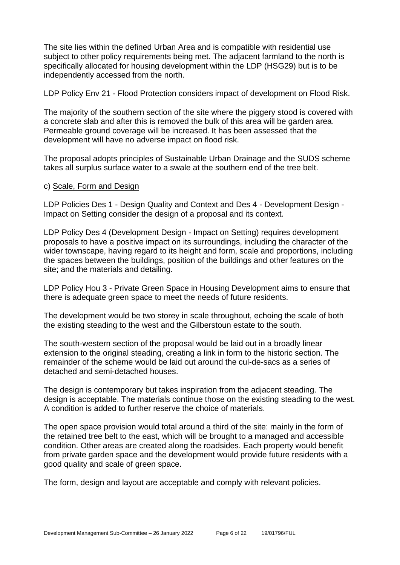The site lies within the defined Urban Area and is compatible with residential use subject to other policy requirements being met. The adjacent farmland to the north is specifically allocated for housing development within the LDP (HSG29) but is to be independently accessed from the north.

LDP Policy Env 21 - Flood Protection considers impact of development on Flood Risk.

The majority of the southern section of the site where the piggery stood is covered with a concrete slab and after this is removed the bulk of this area will be garden area. Permeable ground coverage will be increased. It has been assessed that the development will have no adverse impact on flood risk.

The proposal adopts principles of Sustainable Urban Drainage and the SUDS scheme takes all surplus surface water to a swale at the southern end of the tree belt.

#### c) Scale, Form and Design

LDP Policies Des 1 - Design Quality and Context and Des 4 - Development Design - Impact on Setting consider the design of a proposal and its context.

LDP Policy Des 4 (Development Design - Impact on Setting) requires development proposals to have a positive impact on its surroundings, including the character of the wider townscape, having regard to its height and form, scale and proportions, including the spaces between the buildings, position of the buildings and other features on the site; and the materials and detailing.

LDP Policy Hou 3 - Private Green Space in Housing Development aims to ensure that there is adequate green space to meet the needs of future residents.

The development would be two storey in scale throughout, echoing the scale of both the existing steading to the west and the Gilberstoun estate to the south.

The south-western section of the proposal would be laid out in a broadly linear extension to the original steading, creating a link in form to the historic section. The remainder of the scheme would be laid out around the cul-de-sacs as a series of detached and semi-detached houses.

The design is contemporary but takes inspiration from the adjacent steading. The design is acceptable. The materials continue those on the existing steading to the west. A condition is added to further reserve the choice of materials.

The open space provision would total around a third of the site: mainly in the form of the retained tree belt to the east, which will be brought to a managed and accessible condition. Other areas are created along the roadsides. Each property would benefit from private garden space and the development would provide future residents with a good quality and scale of green space.

The form, design and layout are acceptable and comply with relevant policies.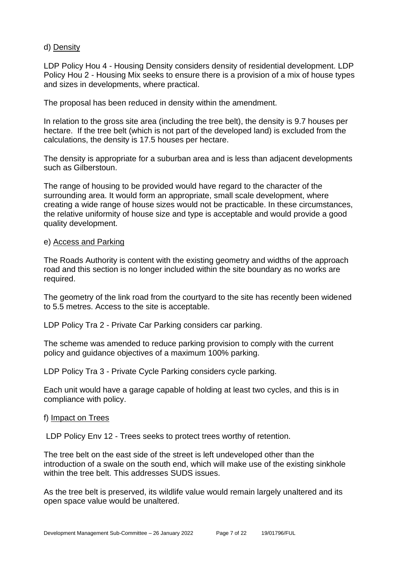#### d) Density

LDP Policy Hou 4 - Housing Density considers density of residential development. LDP Policy Hou 2 - Housing Mix seeks to ensure there is a provision of a mix of house types and sizes in developments, where practical.

The proposal has been reduced in density within the amendment.

In relation to the gross site area (including the tree belt), the density is 9.7 houses per hectare. If the tree belt (which is not part of the developed land) is excluded from the calculations, the density is 17.5 houses per hectare.

The density is appropriate for a suburban area and is less than adjacent developments such as Gilberstoun.

The range of housing to be provided would have regard to the character of the surrounding area. It would form an appropriate, small scale development, where creating a wide range of house sizes would not be practicable. In these circumstances, the relative uniformity of house size and type is acceptable and would provide a good quality development.

#### e) Access and Parking

The Roads Authority is content with the existing geometry and widths of the approach road and this section is no longer included within the site boundary as no works are required.

The geometry of the link road from the courtyard to the site has recently been widened to 5.5 metres. Access to the site is acceptable.

LDP Policy Tra 2 - Private Car Parking considers car parking.

The scheme was amended to reduce parking provision to comply with the current policy and guidance objectives of a maximum 100% parking.

LDP Policy Tra 3 - Private Cycle Parking considers cycle parking.

Each unit would have a garage capable of holding at least two cycles, and this is in compliance with policy.

#### f) Impact on Trees

LDP Policy Env 12 - Trees seeks to protect trees worthy of retention.

The tree belt on the east side of the street is left undeveloped other than the introduction of a swale on the south end, which will make use of the existing sinkhole within the tree belt. This addresses SUDS issues.

As the tree belt is preserved, its wildlife value would remain largely unaltered and its open space value would be unaltered.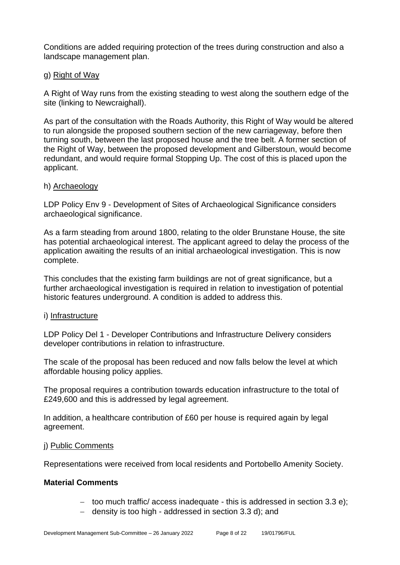Conditions are added requiring protection of the trees during construction and also a landscape management plan.

#### g) Right of Way

A Right of Way runs from the existing steading to west along the southern edge of the site (linking to Newcraighall).

As part of the consultation with the Roads Authority, this Right of Way would be altered to run alongside the proposed southern section of the new carriageway, before then turning south, between the last proposed house and the tree belt. A former section of the Right of Way, between the proposed development and Gilberstoun, would become redundant, and would require formal Stopping Up. The cost of this is placed upon the applicant.

#### h) Archaeology

LDP Policy Env 9 - Development of Sites of Archaeological Significance considers archaeological significance.

As a farm steading from around 1800, relating to the older Brunstane House, the site has potential archaeological interest. The applicant agreed to delay the process of the application awaiting the results of an initial archaeological investigation. This is now complete.

This concludes that the existing farm buildings are not of great significance, but a further archaeological investigation is required in relation to investigation of potential historic features underground. A condition is added to address this.

#### i) Infrastructure

LDP Policy Del 1 - Developer Contributions and Infrastructure Delivery considers developer contributions in relation to infrastructure.

The scale of the proposal has been reduced and now falls below the level at which affordable housing policy applies.

The proposal requires a contribution towards education infrastructure to the total of £249,600 and this is addressed by legal agreement.

In addition, a healthcare contribution of £60 per house is required again by legal agreement.

#### j) Public Comments

Representations were received from local residents and Portobello Amenity Society.

#### **Material Comments**

- − too much traffic/ access inadequate this is addressed in section 3.3 e);
- − density is too high addressed in section 3.3 d); and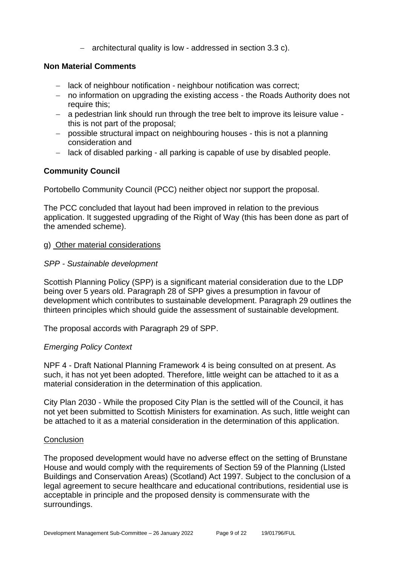− architectural quality is low - addressed in section 3.3 c).

#### **Non Material Comments**

- − lack of neighbour notification neighbour notification was correct;
- − no information on upgrading the existing access the Roads Authority does not require this;
- − a pedestrian link should run through the tree belt to improve its leisure value this is not part of the proposal;
- − possible structural impact on neighbouring houses this is not a planning consideration and
- − lack of disabled parking all parking is capable of use by disabled people.

#### **Community Council**

Portobello Community Council (PCC) neither object nor support the proposal.

The PCC concluded that layout had been improved in relation to the previous application. It suggested upgrading of the Right of Way (this has been done as part of the amended scheme).

#### g) Other material considerations

#### *SPP - Sustainable development*

Scottish Planning Policy (SPP) is a significant material consideration due to the LDP being over 5 years old. Paragraph 28 of SPP gives a presumption in favour of development which contributes to sustainable development. Paragraph 29 outlines the thirteen principles which should guide the assessment of sustainable development.

The proposal accords with Paragraph 29 of SPP.

#### *Emerging Policy Context*

NPF 4 - Draft National Planning Framework 4 is being consulted on at present. As such, it has not yet been adopted. Therefore, little weight can be attached to it as a material consideration in the determination of this application.

City Plan 2030 - While the proposed City Plan is the settled will of the Council, it has not yet been submitted to Scottish Ministers for examination. As such, little weight can be attached to it as a material consideration in the determination of this application.

#### **Conclusion**

The proposed development would have no adverse effect on the setting of Brunstane House and would comply with the requirements of Section 59 of the Planning (LIsted Buildings and Conservation Areas) (Scotland) Act 1997. Subject to the conclusion of a legal agreement to secure healthcare and educational contributions, residential use is acceptable in principle and the proposed density is commensurate with the surroundings.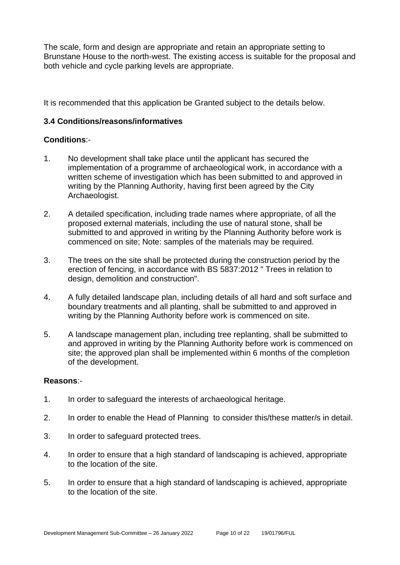The scale, form and design are appropriate and retain an appropriate setting to Brunstane House to the north-west. The existing access is suitable for the proposal and both vehicle and cycle parking levels are appropriate.

It is recommended that this application be Granted subject to the details below.

#### **3.4 Conditions/reasons/informatives**

#### **Conditions**:-

- 1. No development shall take place until the applicant has secured the implementation of a programme of archaeological work, in accordance with a written scheme of investigation which has been submitted to and approved in writing by the Planning Authority, having first been agreed by the City Archaeologist.
- 2. A detailed specification, including trade names where appropriate, of all the proposed external materials, including the use of natural stone, shall be submitted to and approved in writing by the Planning Authority before work is commenced on site; Note: samples of the materials may be required.
- 3. The trees on the site shall be protected during the construction period by the erection of fencing, in accordance with BS 5837:2012 " Trees in relation to design, demolition and construction".
- 4. A fully detailed landscape plan, including details of all hard and soft surface and boundary treatments and all planting, shall be submitted to and approved in writing by the Planning Authority before work is commenced on site.
- 5. A landscape management plan, including tree replanting, shall be submitted to and approved in writing by the Planning Authority before work is commenced on site; the approved plan shall be implemented within 6 months of the completion of the development.

#### **Reasons**:-

- 1. In order to safeguard the interests of archaeological heritage.
- 2. In order to enable the Head of Planning to consider this/these matter/s in detail.
- 3. In order to safeguard protected trees.
- 4. In order to ensure that a high standard of landscaping is achieved, appropriate to the location of the site.
- 5. In order to ensure that a high standard of landscaping is achieved, appropriate to the location of the site.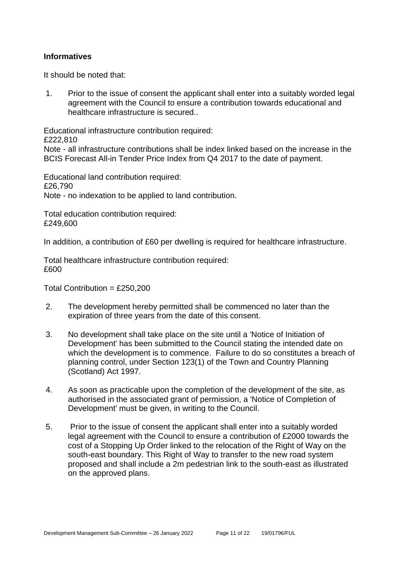#### **Informatives**

It should be noted that:

1. Prior to the issue of consent the applicant shall enter into a suitably worded legal agreement with the Council to ensure a contribution towards educational and healthcare infrastructure is secured..

Educational infrastructure contribution required:

£222,810

Note - all infrastructure contributions shall be index linked based on the increase in the BCIS Forecast All-in Tender Price Index from Q4 2017 to the date of payment.

Educational land contribution required: £26,790 Note - no indexation to be applied to land contribution.

Total education contribution required: £249,600

In addition, a contribution of £60 per dwelling is required for healthcare infrastructure.

Total healthcare infrastructure contribution required: £600

Total Contribution =  $£250,200$ 

- 2. The development hereby permitted shall be commenced no later than the expiration of three years from the date of this consent.
- 3. No development shall take place on the site until a 'Notice of Initiation of Development' has been submitted to the Council stating the intended date on which the development is to commence. Failure to do so constitutes a breach of planning control, under Section 123(1) of the Town and Country Planning (Scotland) Act 1997.
- 4. As soon as practicable upon the completion of the development of the site, as authorised in the associated grant of permission, a 'Notice of Completion of Development' must be given, in writing to the Council.
- 5. Prior to the issue of consent the applicant shall enter into a suitably worded legal agreement with the Council to ensure a contribution of £2000 towards the cost of a Stopping Up Order linked to the relocation of the Right of Way on the south-east boundary. This Right of Way to transfer to the new road system proposed and shall include a 2m pedestrian link to the south-east as illustrated on the approved plans.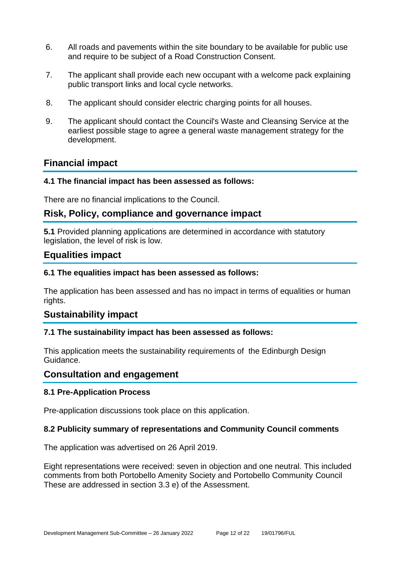- 6. All roads and pavements within the site boundary to be available for public use and require to be subject of a Road Construction Consent.
- 7. The applicant shall provide each new occupant with a welcome pack explaining public transport links and local cycle networks.
- 8. The applicant should consider electric charging points for all houses.
- 9. The applicant should contact the Council's Waste and Cleansing Service at the earliest possible stage to agree a general waste management strategy for the development.

# **Financial impact**

#### **4.1 The financial impact has been assessed as follows:**

There are no financial implications to the Council.

# **Risk, Policy, compliance and governance impact**

**5.1** Provided planning applications are determined in accordance with statutory legislation, the level of risk is low.

# **Equalities impact**

#### **6.1 The equalities impact has been assessed as follows:**

The application has been assessed and has no impact in terms of equalities or human rights.

#### **Sustainability impact**

#### **7.1 The sustainability impact has been assessed as follows:**

This application meets the sustainability requirements of the Edinburgh Design Guidance.

#### **Consultation and engagement**

#### **8.1 Pre-Application Process**

Pre-application discussions took place on this application.

#### **8.2 Publicity summary of representations and Community Council comments**

The application was advertised on 26 April 2019.

Eight representations were received: seven in objection and one neutral. This included comments from both Portobello Amenity Society and Portobello Community Council These are addressed in section 3.3 e) of the Assessment.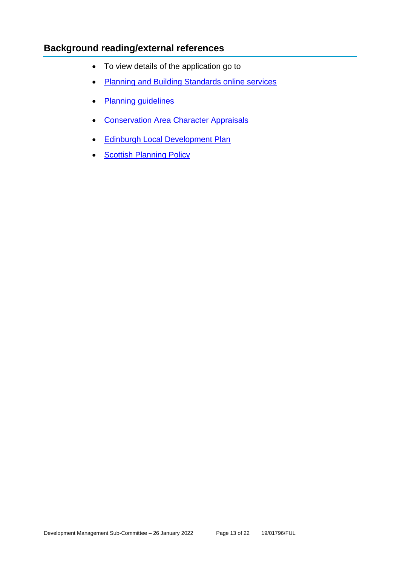# **Background reading/external references**

- To view details of the application go to
- [Planning and Building Standards online services](https://citydev-portal.edinburgh.gov.uk/idoxpa-web/search.do?action=simple&searchType=Application)
- [Planning guidelines](http://www.edinburgh.gov.uk/planningguidelines)
- [Conservation Area Character Appraisals](http://www.edinburgh.gov.uk/characterappraisals)
- [Edinburgh Local Development Plan](http://www.edinburgh.gov.uk/localdevelopmentplan)
- [Scottish Planning Policy](http://www.scotland.gov.uk/Topics/Built-Environment/planning/Policy)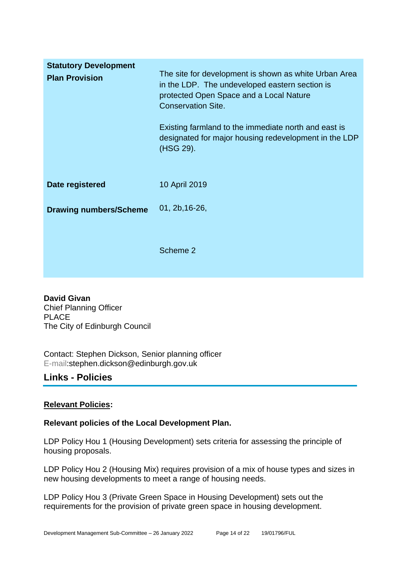| <b>Statutory Development</b><br><b>Plan Provision</b> | The site for development is shown as white Urban Area<br>in the LDP. The undeveloped eastern section is<br>protected Open Space and a Local Nature<br><b>Conservation Site.</b><br>Existing farmland to the immediate north and east is<br>designated for major housing redevelopment in the LDP<br>(HSG 29). |
|-------------------------------------------------------|---------------------------------------------------------------------------------------------------------------------------------------------------------------------------------------------------------------------------------------------------------------------------------------------------------------|
| Date registered                                       | 10 April 2019                                                                                                                                                                                                                                                                                                 |
| <b>Drawing numbers/Scheme</b>                         | 01, 2b, 16-26,                                                                                                                                                                                                                                                                                                |
|                                                       | Scheme 2                                                                                                                                                                                                                                                                                                      |

**David Givan** Chief Planning Officer PLACE The City of Edinburgh Council

Contact: Stephen Dickson, Senior planning officer E-mail:stephen.dickson@edinburgh.gov.uk

# **Links - Policies**

#### **Relevant Policies:**

#### **Relevant policies of the Local Development Plan.**

LDP Policy Hou 1 (Housing Development) sets criteria for assessing the principle of housing proposals.

LDP Policy Hou 2 (Housing Mix) requires provision of a mix of house types and sizes in new housing developments to meet a range of housing needs.

LDP Policy Hou 3 (Private Green Space in Housing Development) sets out the requirements for the provision of private green space in housing development.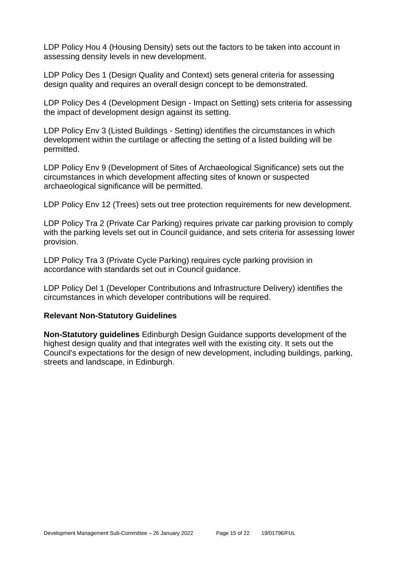LDP Policy Hou 4 (Housing Density) sets out the factors to be taken into account in assessing density levels in new development.

LDP Policy Des 1 (Design Quality and Context) sets general criteria for assessing design quality and requires an overall design concept to be demonstrated.

LDP Policy Des 4 (Development Design - Impact on Setting) sets criteria for assessing the impact of development design against its setting.

LDP Policy Env 3 (Listed Buildings - Setting) identifies the circumstances in which development within the curtilage or affecting the setting of a listed building will be permitted.

LDP Policy Env 9 (Development of Sites of Archaeological Significance) sets out the circumstances in which development affecting sites of known or suspected archaeological significance will be permitted.

LDP Policy Env 12 (Trees) sets out tree protection requirements for new development.

LDP Policy Tra 2 (Private Car Parking) requires private car parking provision to comply with the parking levels set out in Council guidance, and sets criteria for assessing lower provision.

LDP Policy Tra 3 (Private Cycle Parking) requires cycle parking provision in accordance with standards set out in Council guidance.

LDP Policy Del 1 (Developer Contributions and Infrastructure Delivery) identifies the circumstances in which developer contributions will be required.

#### **Relevant Non-Statutory Guidelines**

**Non-Statutory guidelines** Edinburgh Design Guidance supports development of the highest design quality and that integrates well with the existing city. It sets out the Council's expectations for the design of new development, including buildings, parking, streets and landscape, in Edinburgh.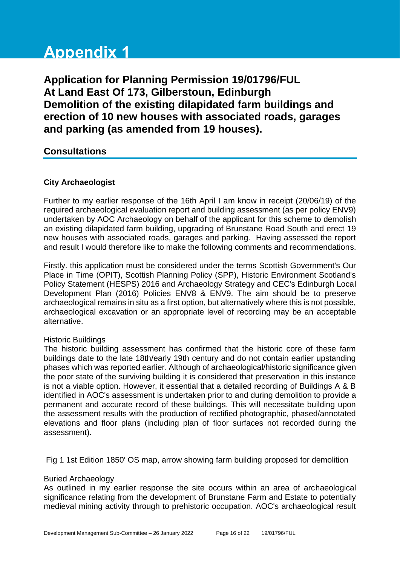# **Appendix 1**

**Application for Planning Permission 19/01796/FUL At Land East Of 173, Gilberstoun, Edinburgh Demolition of the existing dilapidated farm buildings and erection of 10 new houses with associated roads, garages and parking (as amended from 19 houses).**

# **Consultations**

#### **City Archaeologist**

Further to my earlier response of the 16th April I am know in receipt (20/06/19) of the required archaeological evaluation report and building assessment (as per policy ENV9) undertaken by AOC Archaeology on behalf of the applicant for this scheme to demolish an existing dilapidated farm building, upgrading of Brunstane Road South and erect 19 new houses with associated roads, garages and parking. Having assessed the report and result I would therefore like to make the following comments and recommendations.

Firstly. this application must be considered under the terms Scottish Government's Our Place in Time (OPIT), Scottish Planning Policy (SPP), Historic Environment Scotland's Policy Statement (HESPS) 2016 and Archaeology Strategy and CEC's Edinburgh Local Development Plan (2016) Policies ENV8 & ENV9. The aim should be to preserve archaeological remains in situ as a first option, but alternatively where this is not possible, archaeological excavation or an appropriate level of recording may be an acceptable alternative.

#### Historic Buildings

The historic building assessment has confirmed that the historic core of these farm buildings date to the late 18th/early 19th century and do not contain earlier upstanding phases which was reported earlier. Although of archaeological/historic significance given the poor state of the surviving building it is considered that preservation in this instance is not a viable option. However, it essential that a detailed recording of Buildings A & B identified in AOC's assessment is undertaken prior to and during demolition to provide a permanent and accurate record of these buildings. This will necessitate building upon the assessment results with the production of rectified photographic, phased/annotated elevations and floor plans (including plan of floor surfaces not recorded during the assessment).

Fig 1 1st Edition 1850' OS map, arrow showing farm building proposed for demolition

#### Buried Archaeology

As outlined in my earlier response the site occurs within an area of archaeological significance relating from the development of Brunstane Farm and Estate to potentially medieval mining activity through to prehistoric occupation. AOC's archaeological result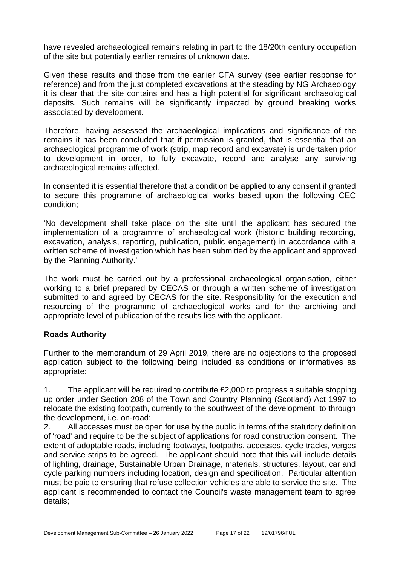have revealed archaeological remains relating in part to the 18/20th century occupation of the site but potentially earlier remains of unknown date.

Given these results and those from the earlier CFA survey (see earlier response for reference) and from the just completed excavations at the steading by NG Archaeology it is clear that the site contains and has a high potential for significant archaeological deposits. Such remains will be significantly impacted by ground breaking works associated by development.

Therefore, having assessed the archaeological implications and significance of the remains it has been concluded that if permission is granted, that is essential that an archaeological programme of work (strip, map record and excavate) is undertaken prior to development in order, to fully excavate, record and analyse any surviving archaeological remains affected.

In consented it is essential therefore that a condition be applied to any consent if granted to secure this programme of archaeological works based upon the following CEC condition;

'No development shall take place on the site until the applicant has secured the implementation of a programme of archaeological work (historic building recording, excavation, analysis, reporting, publication, public engagement) in accordance with a written scheme of investigation which has been submitted by the applicant and approved by the Planning Authority.'

The work must be carried out by a professional archaeological organisation, either working to a brief prepared by CECAS or through a written scheme of investigation submitted to and agreed by CECAS for the site. Responsibility for the execution and resourcing of the programme of archaeological works and for the archiving and appropriate level of publication of the results lies with the applicant.

#### **Roads Authority**

Further to the memorandum of 29 April 2019, there are no objections to the proposed application subject to the following being included as conditions or informatives as appropriate:

1. The applicant will be required to contribute £2,000 to progress a suitable stopping up order under Section 208 of the Town and Country Planning (Scotland) Act 1997 to relocate the existing footpath, currently to the southwest of the development, to through the development, i.e. on-road;

2. All accesses must be open for use by the public in terms of the statutory definition of 'road' and require to be the subject of applications for road construction consent. The extent of adoptable roads, including footways, footpaths, accesses, cycle tracks, verges and service strips to be agreed. The applicant should note that this will include details of lighting, drainage, Sustainable Urban Drainage, materials, structures, layout, car and cycle parking numbers including location, design and specification. Particular attention must be paid to ensuring that refuse collection vehicles are able to service the site. The applicant is recommended to contact the Council's waste management team to agree details;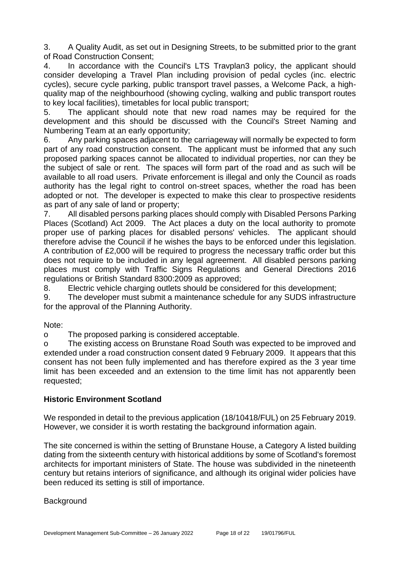3. A Quality Audit, as set out in Designing Streets, to be submitted prior to the grant of Road Construction Consent;

4. In accordance with the Council's LTS Travplan3 policy, the applicant should consider developing a Travel Plan including provision of pedal cycles (inc. electric cycles), secure cycle parking, public transport travel passes, a Welcome Pack, a highquality map of the neighbourhood (showing cycling, walking and public transport routes to key local facilities), timetables for local public transport;

5. The applicant should note that new road names may be required for the development and this should be discussed with the Council's Street Naming and Numbering Team at an early opportunity;

6. Any parking spaces adjacent to the carriageway will normally be expected to form part of any road construction consent. The applicant must be informed that any such proposed parking spaces cannot be allocated to individual properties, nor can they be the subject of sale or rent. The spaces will form part of the road and as such will be available to all road users. Private enforcement is illegal and only the Council as roads authority has the legal right to control on-street spaces, whether the road has been adopted or not. The developer is expected to make this clear to prospective residents as part of any sale of land or property;

7. All disabled persons parking places should comply with Disabled Persons Parking Places (Scotland) Act 2009. The Act places a duty on the local authority to promote proper use of parking places for disabled persons' vehicles. The applicant should therefore advise the Council if he wishes the bays to be enforced under this legislation. A contribution of £2,000 will be required to progress the necessary traffic order but this does not require to be included in any legal agreement. All disabled persons parking places must comply with Traffic Signs Regulations and General Directions 2016 regulations or British Standard 8300:2009 as approved;

8. Electric vehicle charging outlets should be considered for this development;

9. The developer must submit a maintenance schedule for any SUDS infrastructure for the approval of the Planning Authority.

Note:

o The proposed parking is considered acceptable.

o The existing access on Brunstane Road South was expected to be improved and extended under a road construction consent dated 9 February 2009. It appears that this consent has not been fully implemented and has therefore expired as the 3 year time limit has been exceeded and an extension to the time limit has not apparently been requested;

#### **Historic Environment Scotland**

We responded in detail to the previous application (18/10418/FUL) on 25 February 2019. However, we consider it is worth restating the background information again.

The site concerned is within the setting of Brunstane House, a Category A listed building dating from the sixteenth century with historical additions by some of Scotland's foremost architects for important ministers of State. The house was subdivided in the nineteenth century but retains interiors of significance, and although its original wider policies have been reduced its setting is still of importance.

**Background**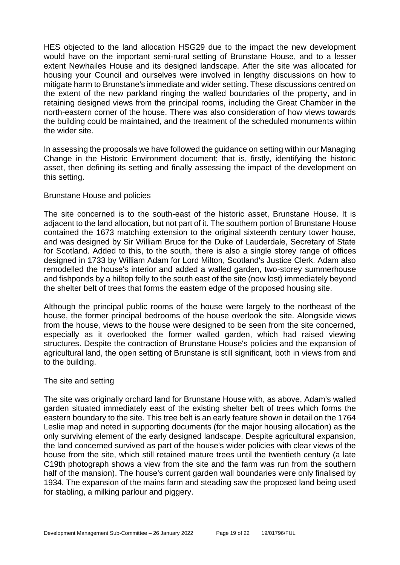HES objected to the land allocation HSG29 due to the impact the new development would have on the important semi-rural setting of Brunstane House, and to a lesser extent Newhailes House and its designed landscape. After the site was allocated for housing your Council and ourselves were involved in lengthy discussions on how to mitigate harm to Brunstane's immediate and wider setting. These discussions centred on the extent of the new parkland ringing the walled boundaries of the property, and in retaining designed views from the principal rooms, including the Great Chamber in the north-eastern corner of the house. There was also consideration of how views towards the building could be maintained, and the treatment of the scheduled monuments within the wider site.

In assessing the proposals we have followed the guidance on setting within our Managing Change in the Historic Environment document; that is, firstly, identifying the historic asset, then defining its setting and finally assessing the impact of the development on this setting.

#### Brunstane House and policies

The site concerned is to the south-east of the historic asset, Brunstane House. It is adjacent to the land allocation, but not part of it. The southern portion of Brunstane House contained the 1673 matching extension to the original sixteenth century tower house, and was designed by Sir William Bruce for the Duke of Lauderdale, Secretary of State for Scotland. Added to this, to the south, there is also a single storey range of offices designed in 1733 by William Adam for Lord Milton, Scotland's Justice Clerk. Adam also remodelled the house's interior and added a walled garden, two-storey summerhouse and fishponds by a hilltop folly to the south east of the site (now lost) immediately beyond the shelter belt of trees that forms the eastern edge of the proposed housing site.

Although the principal public rooms of the house were largely to the northeast of the house, the former principal bedrooms of the house overlook the site. Alongside views from the house, views to the house were designed to be seen from the site concerned, especially as it overlooked the former walled garden, which had raised viewing structures. Despite the contraction of Brunstane House's policies and the expansion of agricultural land, the open setting of Brunstane is still significant, both in views from and to the building.

#### The site and setting

The site was originally orchard land for Brunstane House with, as above, Adam's walled garden situated immediately east of the existing shelter belt of trees which forms the eastern boundary to the site. This tree belt is an early feature shown in detail on the 1764 Leslie map and noted in supporting documents (for the major housing allocation) as the only surviving element of the early designed landscape. Despite agricultural expansion, the land concerned survived as part of the house's wider policies with clear views of the house from the site, which still retained mature trees until the twentieth century (a late C19th photograph shows a view from the site and the farm was run from the southern half of the mansion). The house's current garden wall boundaries were only finalised by 1934. The expansion of the mains farm and steading saw the proposed land being used for stabling, a milking parlour and piggery.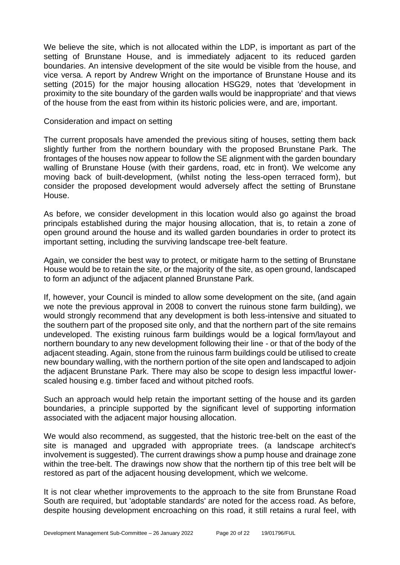We believe the site, which is not allocated within the LDP, is important as part of the setting of Brunstane House, and is immediately adjacent to its reduced garden boundaries. An intensive development of the site would be visible from the house, and vice versa. A report by Andrew Wright on the importance of Brunstane House and its setting (2015) for the major housing allocation HSG29, notes that 'development in proximity to the site boundary of the garden walls would be inappropriate' and that views of the house from the east from within its historic policies were, and are, important.

Consideration and impact on setting

The current proposals have amended the previous siting of houses, setting them back slightly further from the northern boundary with the proposed Brunstane Park. The frontages of the houses now appear to follow the SE alignment with the garden boundary walling of Brunstane House (with their gardens, road, etc in front). We welcome any moving back of built-development, (whilst noting the less-open terraced form), but consider the proposed development would adversely affect the setting of Brunstane House.

As before, we consider development in this location would also go against the broad principals established during the major housing allocation, that is, to retain a zone of open ground around the house and its walled garden boundaries in order to protect its important setting, including the surviving landscape tree-belt feature.

Again, we consider the best way to protect, or mitigate harm to the setting of Brunstane House would be to retain the site, or the majority of the site, as open ground, landscaped to form an adjunct of the adjacent planned Brunstane Park.

If, however, your Council is minded to allow some development on the site, (and again we note the previous approval in 2008 to convert the ruinous stone farm building), we would strongly recommend that any development is both less-intensive and situated to the southern part of the proposed site only, and that the northern part of the site remains undeveloped. The existing ruinous farm buildings would be a logical form/layout and northern boundary to any new development following their line - or that of the body of the adjacent steading. Again, stone from the ruinous farm buildings could be utilised to create new boundary walling, with the northern portion of the site open and landscaped to adjoin the adjacent Brunstane Park. There may also be scope to design less impactful lowerscaled housing e.g. timber faced and without pitched roofs.

Such an approach would help retain the important setting of the house and its garden boundaries, a principle supported by the significant level of supporting information associated with the adjacent major housing allocation.

We would also recommend, as suggested, that the historic tree-belt on the east of the site is managed and upgraded with appropriate trees. (a landscape architect's involvement is suggested). The current drawings show a pump house and drainage zone within the tree-belt. The drawings now show that the northern tip of this tree belt will be restored as part of the adjacent housing development, which we welcome.

It is not clear whether improvements to the approach to the site from Brunstane Road South are required, but 'adoptable standards' are noted for the access road. As before, despite housing development encroaching on this road, it still retains a rural feel, with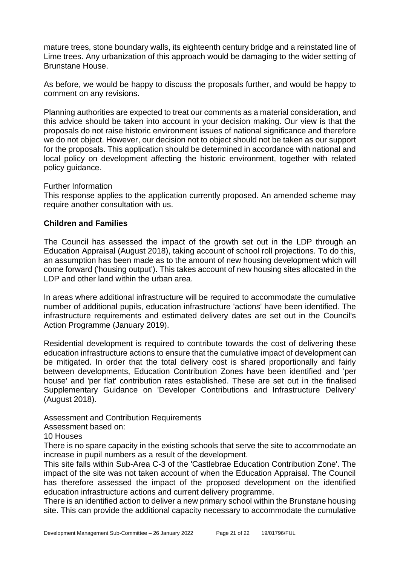mature trees, stone boundary walls, its eighteenth century bridge and a reinstated line of Lime trees. Any urbanization of this approach would be damaging to the wider setting of Brunstane House.

As before, we would be happy to discuss the proposals further, and would be happy to comment on any revisions.

Planning authorities are expected to treat our comments as a material consideration, and this advice should be taken into account in your decision making. Our view is that the proposals do not raise historic environment issues of national significance and therefore we do not object. However, our decision not to object should not be taken as our support for the proposals. This application should be determined in accordance with national and local policy on development affecting the historic environment, together with related policy guidance.

#### Further Information

This response applies to the application currently proposed. An amended scheme may require another consultation with us.

#### **Children and Families**

The Council has assessed the impact of the growth set out in the LDP through an Education Appraisal (August 2018), taking account of school roll projections. To do this, an assumption has been made as to the amount of new housing development which will come forward ('housing output'). This takes account of new housing sites allocated in the LDP and other land within the urban area.

In areas where additional infrastructure will be required to accommodate the cumulative number of additional pupils, education infrastructure 'actions' have been identified. The infrastructure requirements and estimated delivery dates are set out in the Council's Action Programme (January 2019).

Residential development is required to contribute towards the cost of delivering these education infrastructure actions to ensure that the cumulative impact of development can be mitigated. In order that the total delivery cost is shared proportionally and fairly between developments, Education Contribution Zones have been identified and 'per house' and 'per flat' contribution rates established. These are set out in the finalised Supplementary Guidance on 'Developer Contributions and Infrastructure Delivery' (August 2018).

#### Assessment and Contribution Requirements

Assessment based on:

#### 10 Houses

There is no spare capacity in the existing schools that serve the site to accommodate an increase in pupil numbers as a result of the development.

This site falls within Sub-Area C-3 of the 'Castlebrae Education Contribution Zone'. The impact of the site was not taken account of when the Education Appraisal. The Council has therefore assessed the impact of the proposed development on the identified education infrastructure actions and current delivery programme.

There is an identified action to deliver a new primary school within the Brunstane housing site. This can provide the additional capacity necessary to accommodate the cumulative